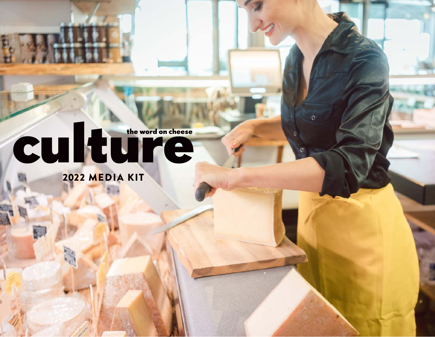# CUITE

2022 MEDIA KIT

**communication**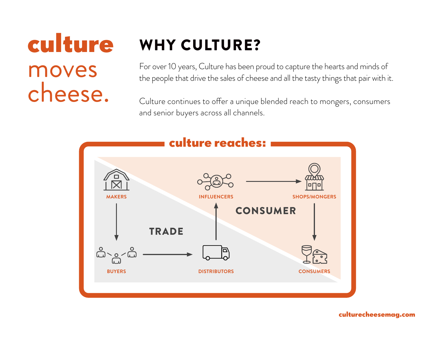## **culture** moves cheese.

### WHY CULTURE?

For over 10 years, Culture has been proud to capture the hearts and minds of the people that drive the sales of cheese and all the tasty things that pair with it.

Culture continues to offer a unique blended reach to mongers, consumers and senior buyers across all channels.

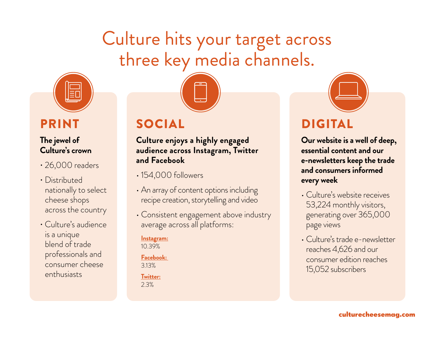### Culture hits your target across three key media channels.



### PRINT

### **The jewel of Culture's crown**

- 26,000 readers
- Distributed nationally to select cheese shops across the country
- Culture's audience is a unique blend of trade professionals and consumer cheese enthusiasts

### SOCIAL

**Culture enjoys a highly engaged audience across Instagram, Twitter and Facebook**

- 154,000 followers
- An array of content options including recipe creation, storytelling and video
- Consistent engagement above industry average across all platforms:

#### **Instagram:**  10.39%

**Facebook:**  3.13%

**Twitter:**

2.3%



### DIGITAL

**Our website is a well of deep, essential content and our e-newsletters keep the trade and consumers informed every week**

- Culture's website receives 53,224 monthly visitors, generating over 365,000 page views
- Culture's trade e-newsletter reaches 4,626 and our consumer edition reaches 15,052 subscribers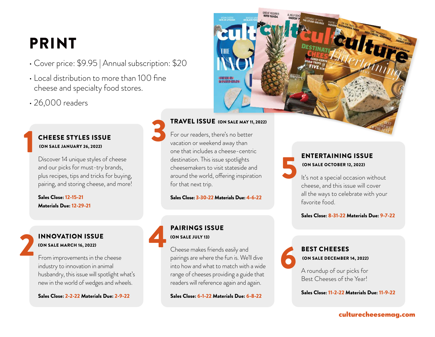### PRINT

- Cover price: \$9.95 | Annual subscription: \$20
- Local distribution to more than 100 fine cheese and specialty food stores.
- 26,000 readers

#### CHEESE STYLES ISSUE (ON SALE JANUARY 26, 2022)

Discover 14 unique styles of cheese and our picks for must-try brands, plus recipes, tips and tricks for buying, pairing, and storing cheese, and more!

Sales Close: 12-15-21 Materials Due: 12-29-21

### INNOVATION ISSUE (ON SALE MARCH 16, 2022) 2

1

From improvements in the cheese industry to innovation in animal husbandry, this issue will spotlight what's new in the world of wedges and wheels.

Sales Close: 2-2-22 Materials Due: 2-9-22



5

6

TRAVEL ISSUE (ON SALE MAY 11, 2022)

For our readers, there's no better vacation or weekend away than one that includes a cheese-centric destination. This issue spotlights cheesemakers to visit stateside and around the world, offering inspiration for that next trip.

Sales Close: 3-30-22 Materials Due: 4-6-22

#### PAIRINGS ISSUE (ON SALE JULY 13)

3

4

Cheese makes friends easily and pairings are where the fun is. We'll dive into how and what to match with a wide range of cheeses providing a guide that readers will reference again and again.

Sales Close: 6-1-22 Materials Due: 6-8-22

#### ENTERTAINING ISSUE (ON SALE OCTOBER 12, 2022)

It's not a special occasion without cheese, and this issue will cover all the ways to celebrate with your favorite food.

Sales Close: 8-31-22 Materials Due: 9-7-22

### BEST CHEESES (ON SALE DECEMBER 14, 2022)

A roundup of our picks for Best Cheeses of the Year!

Sales Close: 11-2-22 Materials Due: 11-9-22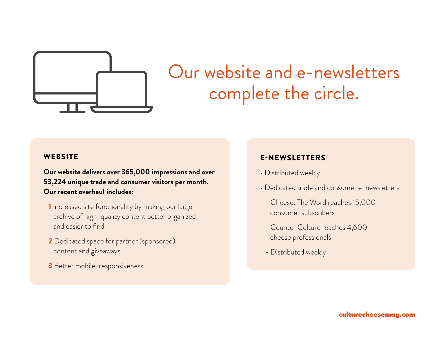

### Our website and e-newsletters complete the circle.

#### **WEBSITE**

**Our website delivers over 365,000 impressions and over 53,224 unique trade and consumer visitors per month. Our recent overhaul includes:**

- 1 Increased site functionality by making our large archive of high-quality content better organized and easier to find
- 2 Dedicated space for partner (sponsored) content and giveaways.
- 3 Better mobile-responsiveness

### E-NEWSLETTERS

- Distributed weekly
- Dedicated trade and consumer e-newsletters
	- Cheese: The Word reaches 15,000 consumer subscribers
	- Counter Culture reaches 4,600 cheese professionals
	- Distributed weekly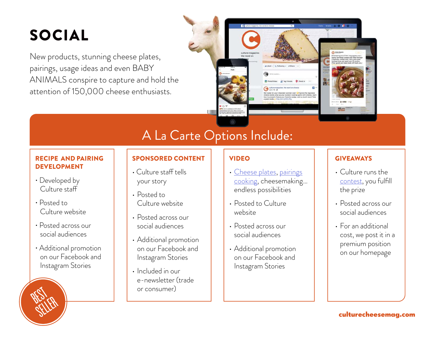### SOCIAL

New products, stunning cheese plates, pairings, usage ideas and even BABY ANIMALS conspire to capture and hold the attention of 150,000 cheese enthusiasts.



### A La Carte Options Include:

#### RECIPE AND PAIRING DEVELOPMENT

- Developed by Culture staff
- Posted to Culture website
- Posted across our social audiences

**BEST** 

SELLER<br>SELLER

• Additional promotion on our Facebook and Instagram Stories

### SPONSORED CONTENT

- Culture staff tells your story
- Posted to Culture website
- Posted across our social audiences
- Additional promotion on our Facebook and Instagram Stories
- Included in our e-newsletter (trade or consumer)

### VIDEO

- Cheese plates, pairings cooking, cheesemaking… endless possibilities
- Posted to Culture website
- Posted across our social audiences
- Additional promotion on our Facebook and Instagram Stories

### **GIVEAWAYS**

- Culture runs the contest, you fulfill the prize
- Posted across our social audiences
- For an additional cost, we post it in a premium position on our homepage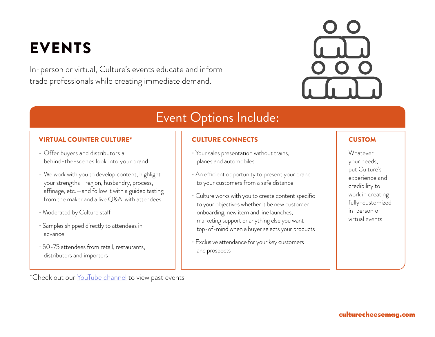### EVENTS

In-person or virtual, Culture's events educate and inform trade professionals while creating immediate demand.



### Event Options Include:

#### VIRTUAL COUNTER CULTURE\*

- Offer buyers and distributors a behind-the-scenes look into your brand
- We work with you to develop content, highlight your strengths—region, husbandry, process, affinage, etc.—and follow it with a guided tasting from the maker and a live Q&A with attendees
- Moderated by Culture staff
- Samples shipped directly to attendees in advance
- 50-75 attendees from retail, restaurants, distributors and importers

\*Check out our YouTube channel to view past events

### CULTURE CONNECTS

- Your sales presentation without trains, planes and automobiles
- An efficient opportunity to present your brand to your customers from a safe distance
- Culture works with you to create content specific to your objectives whether it be new customer onboarding, new item and line launches, marketing support or anything else you want top-of-mind when a buyer selects your products
- Exclusive attendance for your key customers and prospects

#### **CUSTOM**

Whatever your needs, put Culture's experience and credibility to work in creating fully-customized in-person or virtual events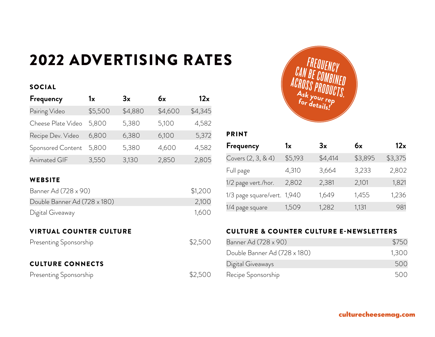### 2022 ADVERTISING RATES

#### SOCIAL

| Frequency          | 1x      | 3x      | 6x      | 12x     |
|--------------------|---------|---------|---------|---------|
| Pairing Video      | \$5,500 | \$4,880 | \$4,600 | \$4,345 |
| Cheese Plate Video | 5,800   | 5,380   | 5,100   | 4,582   |
| Recipe Dev. Video  | 6,800   | 6,380   | 6,100   | 5,372   |
| Sponsored Content  | 5,800   | 5,380   | 4,600   | 4,582   |
| Animated GIF       | 3,550   | 3,130   | 2,850   | 2,805   |

### **WEBSITE**

| Banner Ad (728 x 90)         | \$1,200 |
|------------------------------|---------|
| Double Banner Ad (728 x 180) | 2,100   |
| Digital Giveaway             | 1,600   |

#### VIRTUAL COUNTER CULTURE

Presenting Sponsorship **\$2,500** 

#### CULTURE CONNECTS

Presenting Sponsorship  $$2,500$ 



#### PRINT

| Frequency                   | 1x      | 3x      | 6x      | 12x     |
|-----------------------------|---------|---------|---------|---------|
| Covers (2, 3, & 4)          | \$5,193 | \$4,414 | \$3,895 | \$3,375 |
| Full page                   | 4,310   | 3,664   | 3,233   | 2,802   |
| 1/2 page vert./hor.         | 2,802   | 2,381   | 2,101   | 1,821   |
| 1/3 page square/vert. 1,940 |         | 1,649   | 1,455   | 1,236   |
| 1/4 page square             | 1,509   | 1,282   | 1,131   | 981     |

### CULTURE & COUNTER CULTURE E-NEWSLETTERS

| Banner Ad (728 x 90)         | \$750 |
|------------------------------|-------|
| Double Banner Ad (728 x 180) | 1,300 |
| Digital Giveaways            | 500   |
| Recipe Sponsorship           | 500   |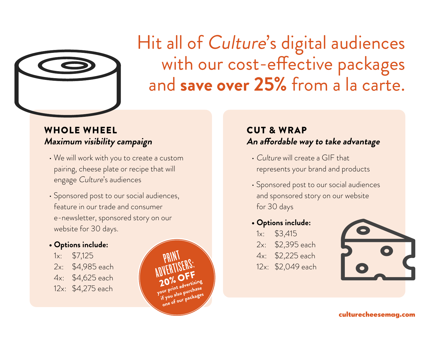

### Hit all of Culture's digital audiences with our cost-effective packages and **save over 25%** from a la carte.

### WHOLE WHEEL **Maximum visibility campaign**

- We will work with you to create a custom pairing, cheese plate or recipe that will engage Culture's audiences
- Sponsored post to our social audiences, feature in our trade and consumer e-newsletter, sponsored story on our website for 30 days.

### **• Options include:**

- 1x: \$7,125
- 2x: \$4,985 each
- 4x: \$4,625 each
- 12x: \$4,275 each



### CUT & WRAP **An affordable way to take advantage**

- Culture will create a GIF that represents your brand and products
- Sponsored post to our social audiences and sponsored story on our website for 30 days

### **• Options include:**

- 1x: \$3,415
- 2x: \$2,395 each
- 4x: \$2,225 each
- 12x: \$2,049 each